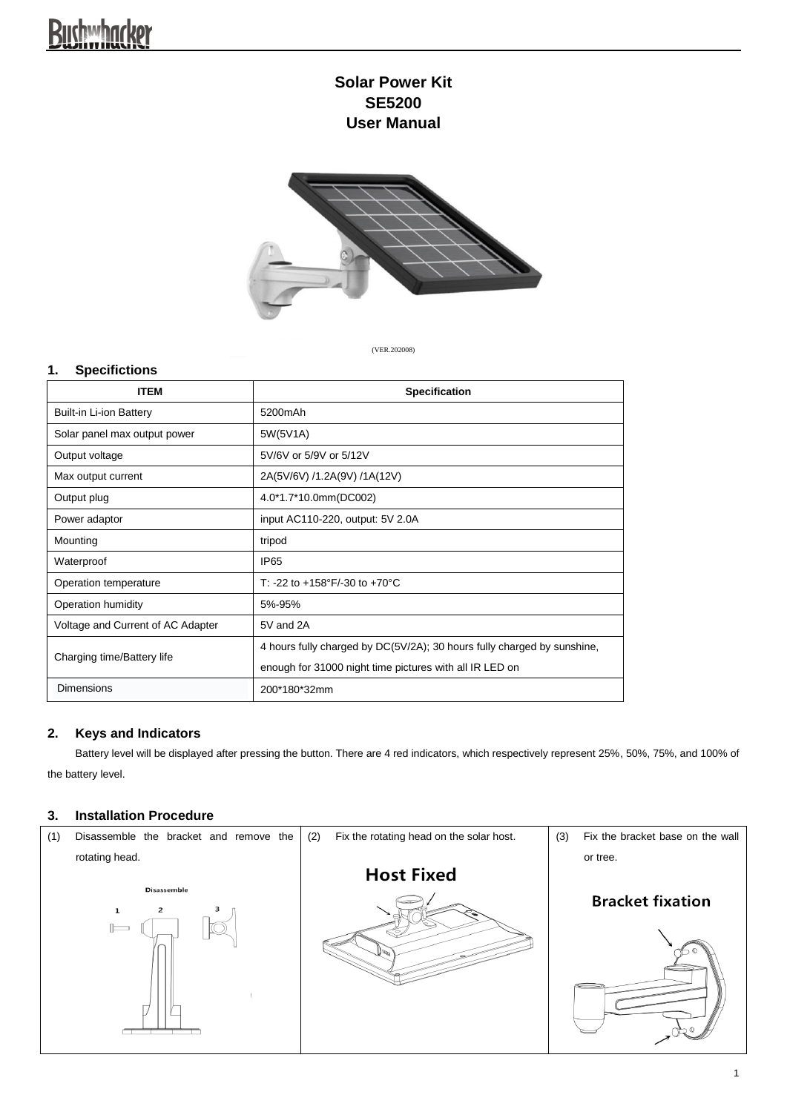# **Buchwhacker**

## **Solar Power Kit SE5200 User Manual**



(VER.202008)

### **1. Specifictions**

| <b>ITEM</b>                       | <b>Specification</b>                                                    |
|-----------------------------------|-------------------------------------------------------------------------|
| Built-in Li-ion Battery           | 5200mAh                                                                 |
| Solar panel max output power      | 5W(5V1A)                                                                |
| Output voltage                    | 5V/6V or 5/9V or 5/12V                                                  |
| Max output current                | 2A(5V/6V) /1.2A(9V) /1A(12V)                                            |
| Output plug                       | 4.0*1.7*10.0mm(DC002)                                                   |
| Power adaptor                     | input AC110-220, output: 5V 2.0A                                        |
| Mounting                          | tripod                                                                  |
| Waterproof                        | IP <sub>65</sub>                                                        |
| Operation temperature             | T: -22 to +158°F/-30 to +70°C                                           |
| Operation humidity                | 5%-95%                                                                  |
| Voltage and Current of AC Adapter | 5V and 2A                                                               |
| Charging time/Battery life        | 4 hours fully charged by DC(5V/2A); 30 hours fully charged by sunshine, |
|                                   | enough for 31000 night time pictures with all IR LED on                 |
| <b>Dimensions</b>                 | 200*180*32mm                                                            |

#### **2. Keys and Indicators**

Battery level will be displayed after pressing the button. There are 4 red indicators, which respectively represent 25%, 50%, 75%, and 100% of the battery level.

#### **3. Installation Procedure**